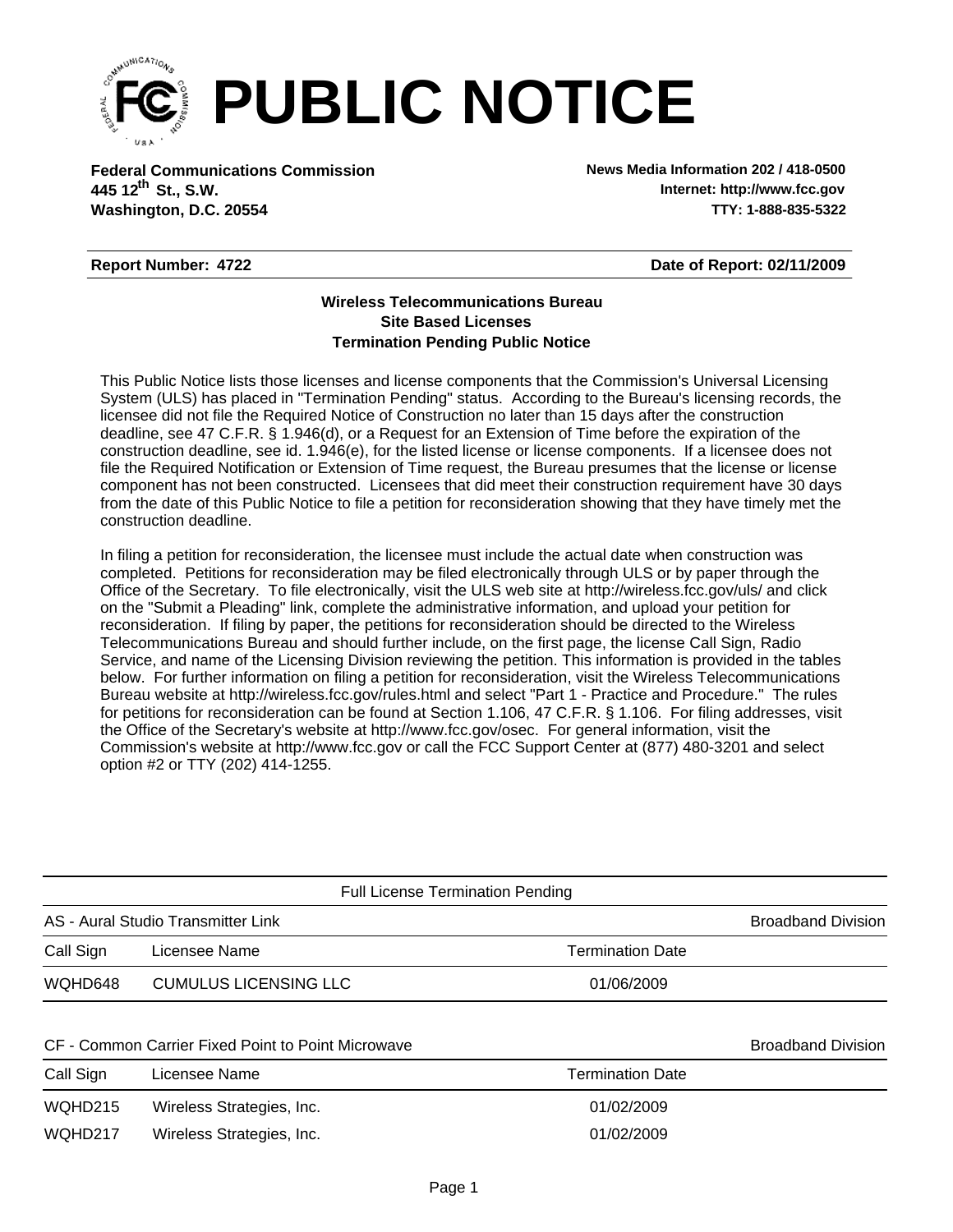

**Federal Communications Commission News Media Information 202 / 418-0500 Washington, D.C. 20554 TTY: 1-888-835-5322 445 12<sup>th</sup> St., S.W.** 

**Internet: http://www.fcc.gov**

## **Report Number: 4722**

**Date of Report: 02/11/2009**

## **Wireless Telecommunications Bureau Site Based Licenses Termination Pending Public Notice**

This Public Notice lists those licenses and license components that the Commission's Universal Licensing System (ULS) has placed in "Termination Pending" status. According to the Bureau's licensing records, the licensee did not file the Required Notice of Construction no later than 15 days after the construction deadline, see 47 C.F.R. § 1.946(d), or a Request for an Extension of Time before the expiration of the construction deadline, see id. 1.946(e), for the listed license or license components. If a licensee does not file the Required Notification or Extension of Time request, the Bureau presumes that the license or license component has not been constructed. Licensees that did meet their construction requirement have 30 days from the date of this Public Notice to file a petition for reconsideration showing that they have timely met the construction deadline.

In filing a petition for reconsideration, the licensee must include the actual date when construction was completed. Petitions for reconsideration may be filed electronically through ULS or by paper through the Office of the Secretary. To file electronically, visit the ULS web site at http://wireless.fcc.gov/uls/ and click on the "Submit a Pleading" link, complete the administrative information, and upload your petition for reconsideration. If filing by paper, the petitions for reconsideration should be directed to the Wireless Telecommunications Bureau and should further include, on the first page, the license Call Sign, Radio Service, and name of the Licensing Division reviewing the petition. This information is provided in the tables below. For further information on filing a petition for reconsideration, visit the Wireless Telecommunications Bureau website at http://wireless.fcc.gov/rules.html and select "Part 1 - Practice and Procedure." The rules for petitions for reconsideration can be found at Section 1.106, 47 C.F.R. § 1.106. For filing addresses, visit the Office of the Secretary's website at http://www.fcc.gov/osec. For general information, visit the Commission's website at http://www.fcc.gov or call the FCC Support Center at (877) 480-3201 and select option #2 or TTY (202) 414-1255.

|           | <b>Full License Termination Pending</b>            |                         |                           |
|-----------|----------------------------------------------------|-------------------------|---------------------------|
|           | AS - Aural Studio Transmitter Link                 |                         | <b>Broadband Division</b> |
| Call Sign | Licensee Name                                      | <b>Termination Date</b> |                           |
| WQHD648   | CUMULUS LICENSING LLC                              | 01/06/2009              |                           |
|           | CF - Common Carrier Fixed Point to Point Microwave |                         | <b>Broadband Division</b> |
| Call Sign | Licensee Name                                      | <b>Termination Date</b> |                           |
| WQHD215   | Wireless Strategies, Inc.                          | 01/02/2009              |                           |

WQHD217 Mireless Strategies, Inc. 61702/2009 MONETALLY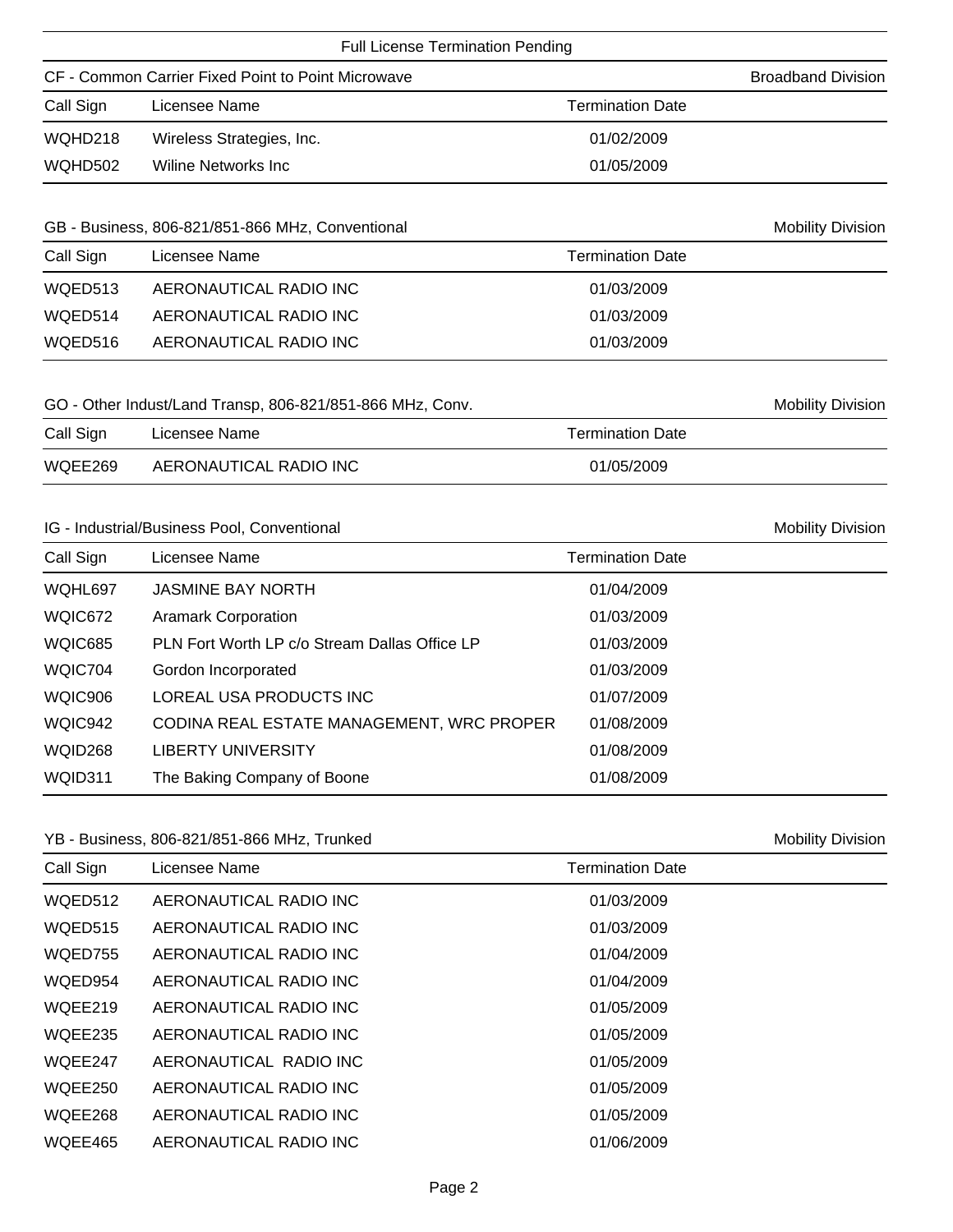| Call Sign<br>WQHD218 | CF - Common Carrier Fixed Point to Point Microwave<br>Licensee Name        | <b>Termination Date</b> | <b>Broadband Division</b> |
|----------------------|----------------------------------------------------------------------------|-------------------------|---------------------------|
|                      |                                                                            |                         |                           |
|                      |                                                                            |                         |                           |
|                      | Wireless Strategies, Inc.                                                  | 01/02/2009              |                           |
| WQHD502              | <b>Wiline Networks Inc</b>                                                 | 01/05/2009              |                           |
|                      | GB - Business, 806-821/851-866 MHz, Conventional                           |                         | <b>Mobility Division</b>  |
| Call Sign            | Licensee Name                                                              | <b>Termination Date</b> |                           |
| WQED513              | AERONAUTICAL RADIO INC                                                     | 01/03/2009              |                           |
| WQED514              | AERONAUTICAL RADIO INC                                                     | 01/03/2009              |                           |
| WQED516              | AERONAUTICAL RADIO INC                                                     | 01/03/2009              |                           |
| Call Sign            | GO - Other Indust/Land Transp, 806-821/851-866 MHz, Conv.<br>Licensee Name | <b>Termination Date</b> | <b>Mobility Division</b>  |
| WQEE269              | AERONAUTICAL RADIO INC                                                     | 01/05/2009              |                           |
|                      | IG - Industrial/Business Pool, Conventional                                |                         | <b>Mobility Division</b>  |
| Call Sign            | Licensee Name                                                              | <b>Termination Date</b> |                           |
| WQHL697              | JASMINE BAY NORTH                                                          | 01/04/2009              |                           |
| WQIC672              | <b>Aramark Corporation</b>                                                 | 01/03/2009              |                           |
| WQIC685              | PLN Fort Worth LP c/o Stream Dallas Office LP                              | 01/03/2009              |                           |
| WQIC704              | Gordon Incorporated                                                        | 01/03/2009              |                           |
| WQIC906              | LOREAL USA PRODUCTS INC                                                    | 01/07/2009              |                           |
| WQIC942              | CODINA REAL ESTATE MANAGEMENT, WRC PROPER                                  | 01/08/2009              |                           |
| WQID268              | <b>LIBERTY UNIVERSITY</b>                                                  | 01/08/2009              |                           |
| WQID311              | The Baking Company of Boone                                                | 01/08/2009              |                           |

## YB - Business, 806-821/851-866 MHz, Trunked Mobility Division

| Call Sign      | Licensee Name          | <b>Termination Date</b> |  |
|----------------|------------------------|-------------------------|--|
| WQED512        | AERONAUTICAL RADIO INC | 01/03/2009              |  |
| WQED515        | AERONAUTICAL RADIO INC | 01/03/2009              |  |
| WQED755        | AERONAUTICAL RADIO INC | 01/04/2009              |  |
| WQED954        | AERONAUTICAL RADIO INC | 01/04/2009              |  |
| WQEE219        | AERONAUTICAL RADIO INC | 01/05/2009              |  |
| WQEE235        | AERONAUTICAL RADIO INC | 01/05/2009              |  |
| WQEE247        | AERONAUTICAL RADIO INC | 01/05/2009              |  |
| <b>WOEE250</b> | AERONAUTICAL RADIO INC | 01/05/2009              |  |
| WQEE268        | AERONAUTICAL RADIO INC | 01/05/2009              |  |
| <b>WOEE465</b> | AERONAUTICAL RADIO INC | 01/06/2009              |  |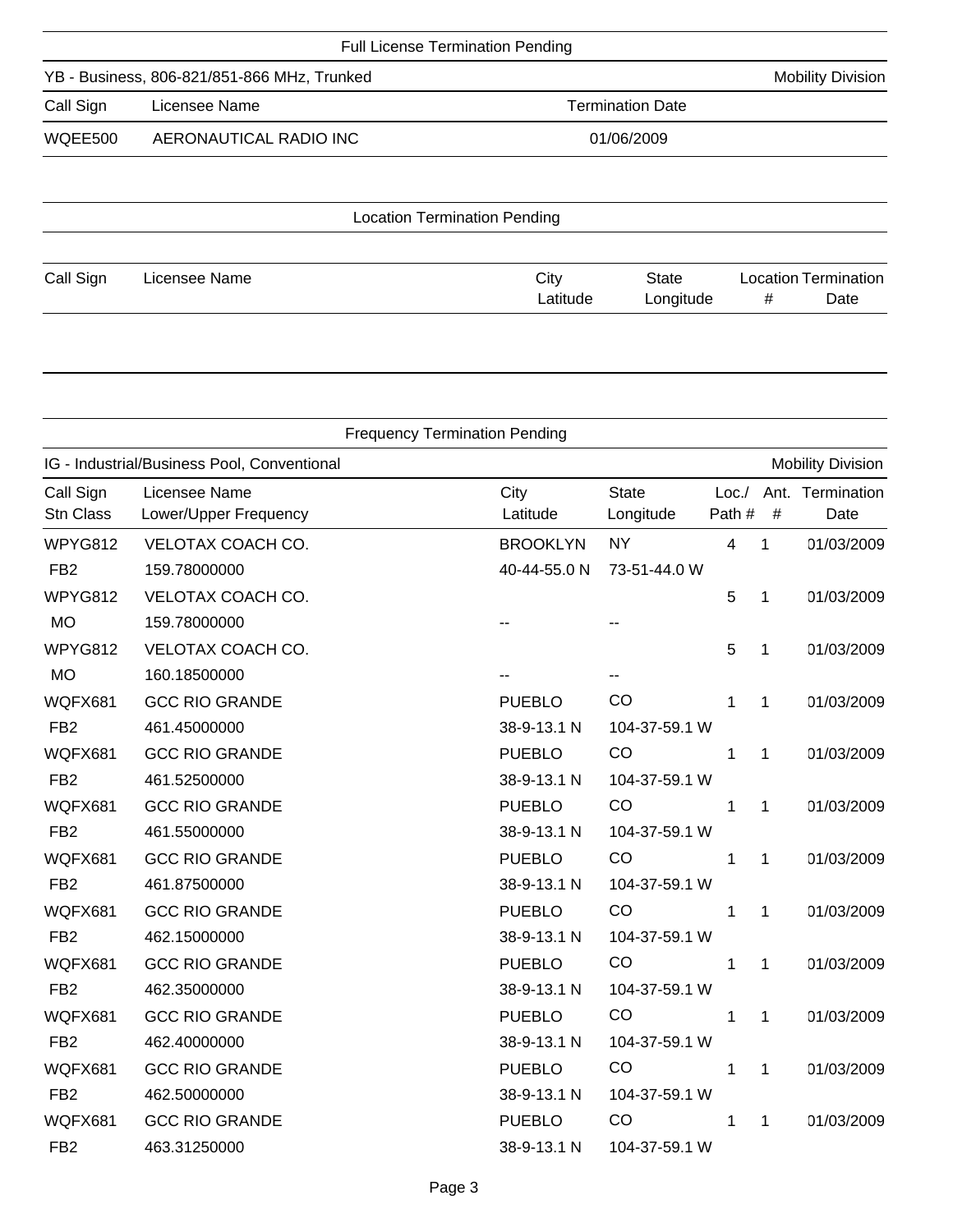| <b>Full License Termination Pending</b>     |                         |  |  |  |  |
|---------------------------------------------|-------------------------|--|--|--|--|
| YB - Business, 806-821/851-866 MHz, Trunked |                         |  |  |  |  |
| Licensee Name                               | <b>Termination Date</b> |  |  |  |  |
| AERONAUTICAL RADIO INC                      | 01/06/2009              |  |  |  |  |
|                                             |                         |  |  |  |  |
|                                             |                         |  |  |  |  |

| <b>Location Termination Pending</b> |               |  |          |           |   |                             |
|-------------------------------------|---------------|--|----------|-----------|---|-----------------------------|
|                                     |               |  |          |           |   |                             |
| Call Sign                           | Licensee Name |  | City     | State     |   | <b>Location Termination</b> |
|                                     |               |  | Latitude | Longitude | # | Date                        |

|                        |                                             | <b>Frequency Termination Pending</b> |                           |                  |              |                          |
|------------------------|---------------------------------------------|--------------------------------------|---------------------------|------------------|--------------|--------------------------|
|                        | IG - Industrial/Business Pool, Conventional |                                      |                           |                  |              | <b>Mobility Division</b> |
| Call Sign<br>Stn Class | Licensee Name<br>Lower/Upper Frequency      | City<br>Latitude                     | <b>State</b><br>Longitude | Loc. /<br>Path # | $\#$         | Ant. Termination<br>Date |
| WPYG812                | VELOTAX COACH CO.                           | <b>BROOKLYN</b>                      | <b>NY</b>                 | $\overline{4}$   | 1            | 01/03/2009               |
| FB <sub>2</sub>        | 159.78000000                                | 40-44-55.0 N                         | 73-51-44.0 W              |                  |              |                          |
| WPYG812                | VELOTAX COACH CO.                           |                                      |                           | 5                | 1            | 01/03/2009               |
| <b>MO</b>              | 159.78000000                                |                                      |                           |                  |              |                          |
| WPYG812                | VELOTAX COACH CO.                           |                                      |                           | 5                | 1            | 01/03/2009               |
| <b>MO</b>              | 160.18500000                                |                                      |                           |                  |              |                          |
| WQFX681                | <b>GCC RIO GRANDE</b>                       | <b>PUEBLO</b>                        | CO                        | 1                | 1            | 01/03/2009               |
| FB <sub>2</sub>        | 461.45000000                                | 38-9-13.1 N                          | 104-37-59.1 W             |                  |              |                          |
| WQFX681                | <b>GCC RIO GRANDE</b>                       | <b>PUEBLO</b>                        | CO                        | 1                | $\mathbf 1$  | 01/03/2009               |
| FB <sub>2</sub>        | 461.52500000                                | 38-9-13.1 N                          | 104-37-59.1 W             |                  |              |                          |
| WQFX681                | <b>GCC RIO GRANDE</b>                       | <b>PUEBLO</b>                        | CO                        | 1                | 1            | 01/03/2009               |
| FB <sub>2</sub>        | 461.55000000                                | 38-9-13.1 N                          | 104-37-59.1 W             |                  |              |                          |
| WQFX681                | <b>GCC RIO GRANDE</b>                       | <b>PUEBLO</b>                        | CO                        | 1                | $\mathbf{1}$ | 01/03/2009               |
| FB <sub>2</sub>        | 461.87500000                                | 38-9-13.1 N                          | 104-37-59.1 W             |                  |              |                          |
| WQFX681                | <b>GCC RIO GRANDE</b>                       | <b>PUEBLO</b>                        | CO                        | 1                | 1            | 01/03/2009               |
| FB <sub>2</sub>        | 462.15000000                                | 38-9-13.1 N                          | 104-37-59.1 W             |                  |              |                          |
| WQFX681                | <b>GCC RIO GRANDE</b>                       | <b>PUEBLO</b>                        | CO                        | 1                | 1            | 01/03/2009               |
| FB <sub>2</sub>        | 462.35000000                                | 38-9-13.1 N                          | 104-37-59.1 W             |                  |              |                          |
| WQFX681                | <b>GCC RIO GRANDE</b>                       | <b>PUEBLO</b>                        | CO                        | 1                | $\mathbf 1$  | 01/03/2009               |
| FB <sub>2</sub>        | 462.40000000                                | 38-9-13.1 N                          | 104-37-59.1 W             |                  |              |                          |
| WQFX681                | <b>GCC RIO GRANDE</b>                       | <b>PUEBLO</b>                        | CO                        | 1                | 1            | 01/03/2009               |
| FB <sub>2</sub>        | 462.50000000                                | 38-9-13.1 N                          | 104-37-59.1 W             |                  |              |                          |
| WQFX681                | <b>GCC RIO GRANDE</b>                       | <b>PUEBLO</b>                        | CO                        | 1                | 1            | 01/03/2009               |
| FB <sub>2</sub>        | 463.31250000                                | 38-9-13.1 N                          | 104-37-59.1 W             |                  |              |                          |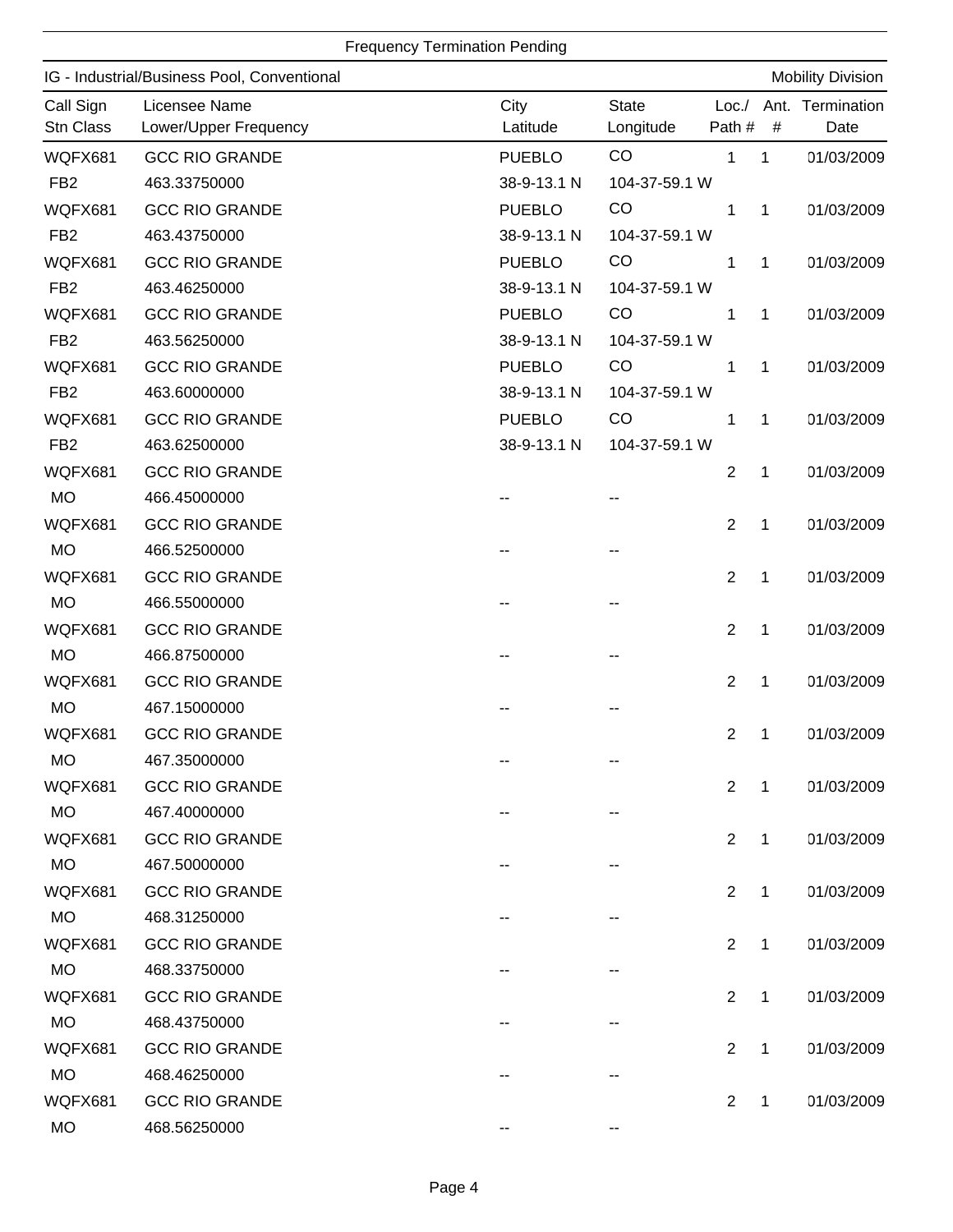|                        |                                             | <b>Frequency Termination Pending</b> |                           |                  |              |                          |
|------------------------|---------------------------------------------|--------------------------------------|---------------------------|------------------|--------------|--------------------------|
|                        | IG - Industrial/Business Pool, Conventional |                                      |                           |                  |              | <b>Mobility Division</b> |
| Call Sign<br>Stn Class | Licensee Name<br>Lower/Upper Frequency      | City<br>Latitude                     | <b>State</b><br>Longitude | Loc. /<br>Path # | $\#$         | Ant. Termination<br>Date |
| WQFX681                | <b>GCC RIO GRANDE</b>                       | <b>PUEBLO</b>                        | CO                        | 1                | 1            | 01/03/2009               |
| FB <sub>2</sub>        | 463.33750000                                | 38-9-13.1 N                          | 104-37-59.1 W             |                  |              |                          |
| WQFX681                | <b>GCC RIO GRANDE</b>                       | <b>PUEBLO</b>                        | CO                        | 1                | 1            | 01/03/2009               |
| FB <sub>2</sub>        | 463.43750000                                | 38-9-13.1 N                          | 104-37-59.1 W             |                  |              |                          |
| WQFX681                | <b>GCC RIO GRANDE</b>                       | <b>PUEBLO</b>                        | CO                        | 1                | 1            | 01/03/2009               |
| FB <sub>2</sub>        | 463.46250000                                | 38-9-13.1 N                          | 104-37-59.1 W             |                  |              |                          |
| WQFX681                | <b>GCC RIO GRANDE</b>                       | <b>PUEBLO</b>                        | CO                        | 1                | 1            | 01/03/2009               |
| FB <sub>2</sub>        | 463.56250000                                | 38-9-13.1 N                          | 104-37-59.1 W             |                  |              |                          |
| WQFX681                | <b>GCC RIO GRANDE</b>                       | <b>PUEBLO</b>                        | CO                        | 1                | 1            | 01/03/2009               |
| FB <sub>2</sub>        | 463.60000000                                | 38-9-13.1 N                          | 104-37-59.1 W             |                  |              |                          |
| WQFX681                | <b>GCC RIO GRANDE</b>                       | <b>PUEBLO</b>                        | CO                        | 1                | 1            | 01/03/2009               |
| FB <sub>2</sub>        | 463.62500000                                | 38-9-13.1 N                          | 104-37-59.1 W             |                  |              |                          |
| WQFX681                | <b>GCC RIO GRANDE</b>                       |                                      |                           | $\overline{2}$   | 1            | 01/03/2009               |
| <b>MO</b>              | 466.45000000                                |                                      |                           |                  |              |                          |
| WQFX681                | <b>GCC RIO GRANDE</b>                       |                                      |                           | $\overline{2}$   | 1            | 01/03/2009               |
| <b>MO</b>              | 466.52500000                                |                                      |                           |                  |              |                          |
| WQFX681                | <b>GCC RIO GRANDE</b>                       |                                      |                           | $\overline{2}$   | 1            | 01/03/2009               |
| <b>MO</b>              | 466.55000000                                |                                      |                           |                  |              |                          |
| WQFX681                | <b>GCC RIO GRANDE</b>                       |                                      |                           | 2                | 1            | 01/03/2009               |
| <b>MO</b>              | 466.87500000                                |                                      |                           |                  |              |                          |
| WQFX681                | <b>GCC RIO GRANDE</b>                       |                                      |                           | $\overline{2}$   | 1            | 01/03/2009               |
| <b>MO</b>              | 467.15000000                                |                                      |                           |                  |              |                          |
| WQFX681                | <b>GCC RIO GRANDE</b>                       |                                      |                           | $\overline{2}$   | $\mathbf 1$  | 01/03/2009               |
| <b>MO</b>              | 467.35000000                                |                                      |                           |                  |              |                          |
| WQFX681                | <b>GCC RIO GRANDE</b>                       |                                      |                           | 2                | 1            | 01/03/2009               |
| <b>MO</b>              | 467.40000000                                |                                      |                           |                  |              |                          |
| <b>WQFX681</b>         | <b>GCC RIO GRANDE</b>                       |                                      |                           | 2                | $\mathbf{1}$ | 01/03/2009               |
| <b>MO</b>              | 467.50000000                                |                                      |                           |                  |              |                          |
| WQFX681                | <b>GCC RIO GRANDE</b>                       |                                      |                           | $\overline{2}$   | $\mathbf{1}$ | 01/03/2009               |
| <b>MO</b>              | 468.31250000                                |                                      |                           |                  |              |                          |
| WQFX681                | <b>GCC RIO GRANDE</b>                       |                                      |                           | 2                | $\mathbf{1}$ | 01/03/2009               |
| <b>MO</b>              | 468.33750000                                |                                      |                           |                  |              |                          |
| WQFX681                | <b>GCC RIO GRANDE</b>                       |                                      |                           | 2                | 1            | 01/03/2009               |
| <b>MO</b>              | 468.43750000                                |                                      |                           |                  |              |                          |
| WQFX681                | <b>GCC RIO GRANDE</b>                       |                                      |                           | $\overline{2}$   | 1            | 01/03/2009               |
| <b>MO</b>              | 468.46250000                                |                                      |                           |                  |              |                          |
| WQFX681                | <b>GCC RIO GRANDE</b>                       |                                      |                           | 2                | $\mathbf{1}$ | 01/03/2009               |
| <b>MO</b>              | 468.56250000                                |                                      |                           |                  |              |                          |